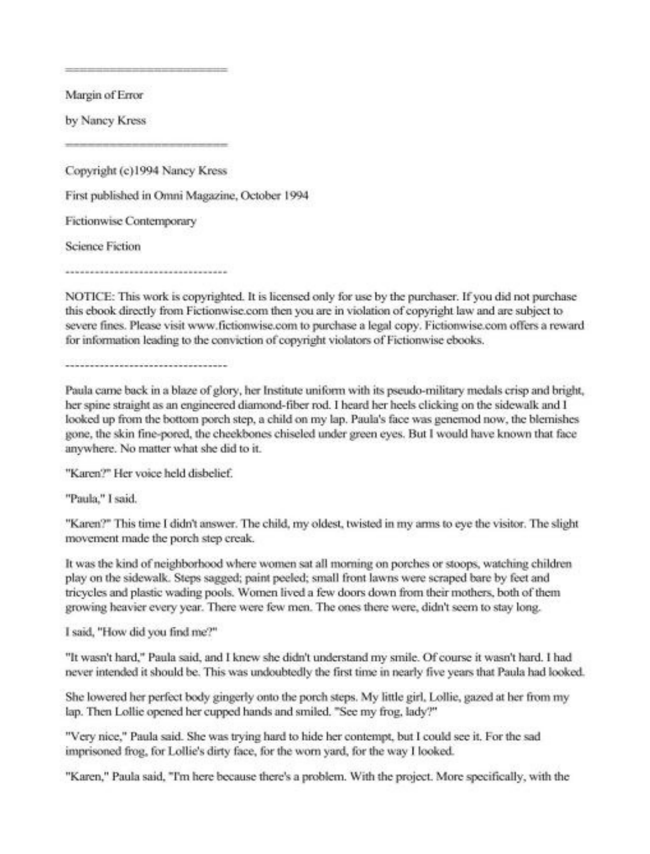Margin of Error

by Nancy Kress

Copyright (c)1994 Nancy Kress First published in Omni Magazine, October 1994 **Fictionwise Contemporary Science Fiction** 

NOTICE: This work is copyrighted. It is licensed only for use by the purchaser. If you did not purchase this ebook directly from Fictionwise.com then you are in violation of copyright law and are subject to severe fines. Please visit www.fictionwise.com to purchase a legal copy. Fictionwise.com offers a reward for information leading to the conviction of copyright violators of Fictionwise ebooks.

Paula came back in a blaze of glory, her Institute uniform with its pseudo-military medals crisp and bright, her spine straight as an engineered diamond-fiber rod. I heard her heels clicking on the sidewalk and I looked up from the bottom porch step, a child on my lap. Paula's face was genemod now, the blemishes gone, the skin fine-pored, the cheekbones chiseled under green eyes. But I would have known that face anywhere. No matter what she did to it.

"Karen?" Her voice held dishelief.

"Paula," I said.

"Karen?" This time I didn't answer. The child, my oldest, twisted in my arms to eve the visitor. The slight movement made the porch step creak.

It was the kind of neighborhood where women sat all morning on porches or stoops, watching children play on the sidewalk. Steps sagged; paint peeled; small front lawns were scraped bare by feet and tricycles and plastic wading pools. Women lived a few doors down from their mothers, both of them growing heavier every year. There were few men. The ones there were, didn't seem to stay long.

I said. "How did you find me?"

"It wasn't hard," Paula said, and I knew she didn't understand my smile. Of course it wasn't hard. I had never intended it should be. This was undoubtedly the first time in nearly five years that Paula had looked.

She lowered her perfect body gingerly onto the porch steps. My little girl, Lollie, gazed at her from my lap. Then Lollie opened her cupped hands and smiled. "See my frog, lady?"

"Very nice," Paula said. She was trying hard to hide her contempt, but I could see it. For the sad imprisoned frog, for Lollie's dirty face, for the worn vard, for the way I looked.

"Karen," Paula said, "I'm here because there's a problem. With the project. More specifically, with the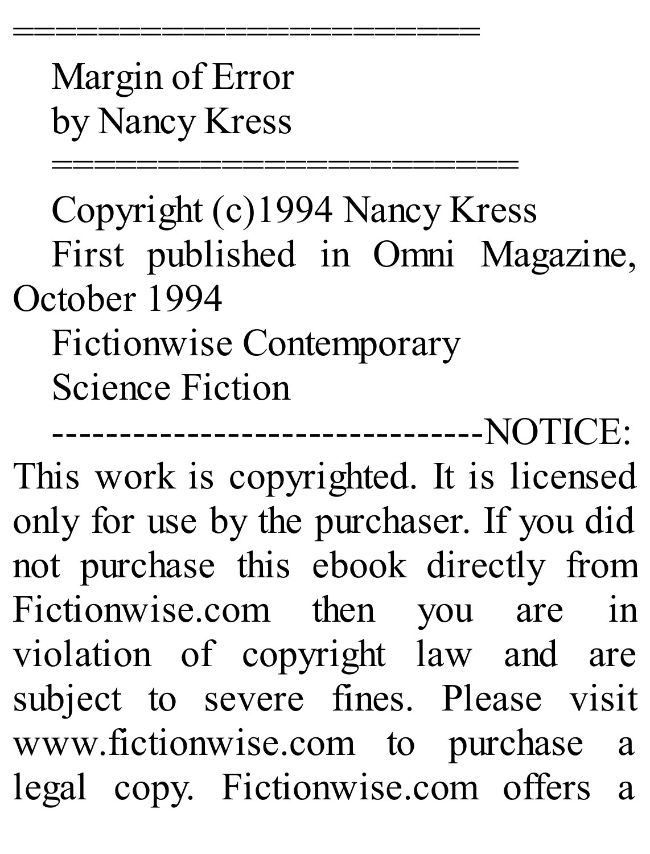Margin of Error by Nancy Kress

=========================<br>=

=========================<br>= Copyright (c)1994 Nancy Kress First published in Omni Magazine, October 1994 Fictionwise Contemporary Science Fiction

--------------------------------NOTICE: This work is copyrighted. It is licensed only for use by the purchaser. If you did not purchase this ebook directly from Fictionwise.com then you are in violation of copyright law and are subject to severe fines. Please visit www.fictionwise.com to purchase a legal copy. Fictionwise.com offers a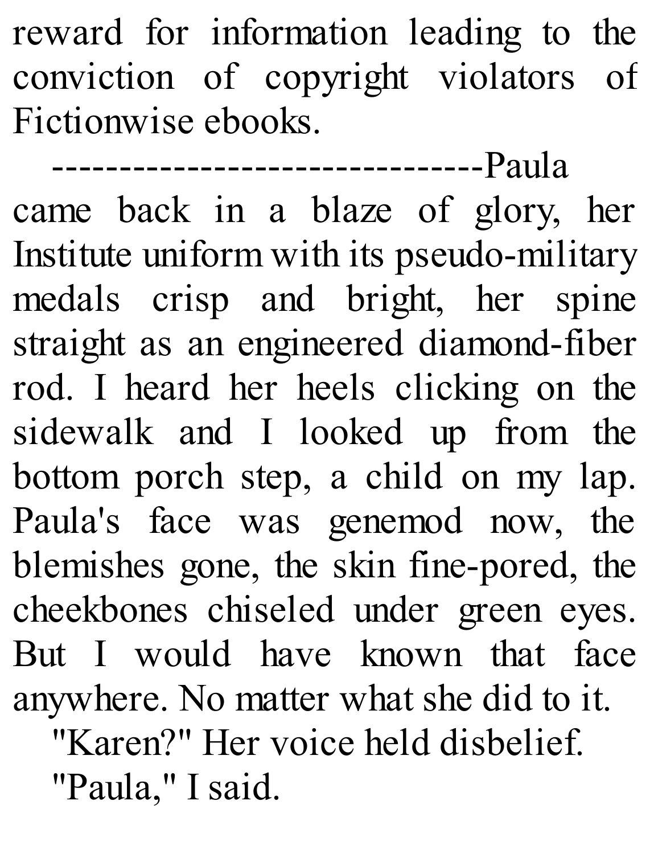reward for information leading to the conviction of copyright violators of Fictionwise ebooks.

--------------------------------Paula came back in a blaze of glory, her Institute uniform with its pseudo-military medals crisp and bright, her spine straight as an engineered diamond-fiber rod. I heard her heels clicking on the sidewalk and I looked up from the bottom porch step, a child on my lap. Paula's face was genemod now, the blemishes gone, the skin fine-pored, the cheekbones chiseled under green eyes. But I would have known that face anywhere. No matter what she did to it. "Karen?" Her voice held disbelief.

"Paula," I said.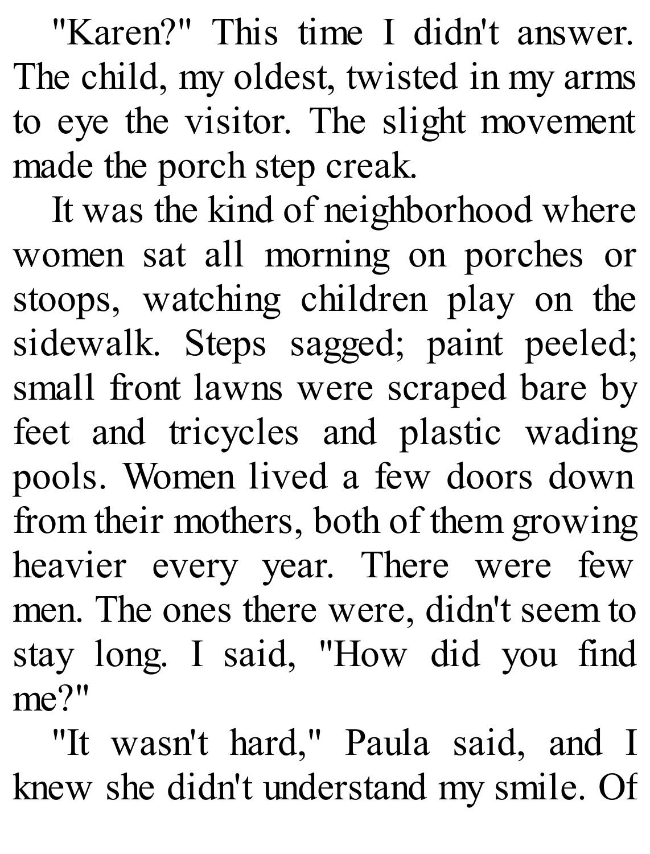"Karen?" This time I didn't answer. The child, my oldest, twisted in my arms to eye the visitor. The slight movement made the porch step creak.

It was the kind of neighborhood where women sat all morning on porches or stoops, watching children play on the sidewalk. Steps sagged; paint peeled; small front lawns were scraped bare by feet and tricycles and plastic wading pools. Women lived a few doors down from their mothers, both of them growing heavier every year. There were few men. The ones there were, didn't seem to stay long. I said, "How did you find me?"

"It wasn't hard," Paula said, and I knew she didn't understand my smile. Of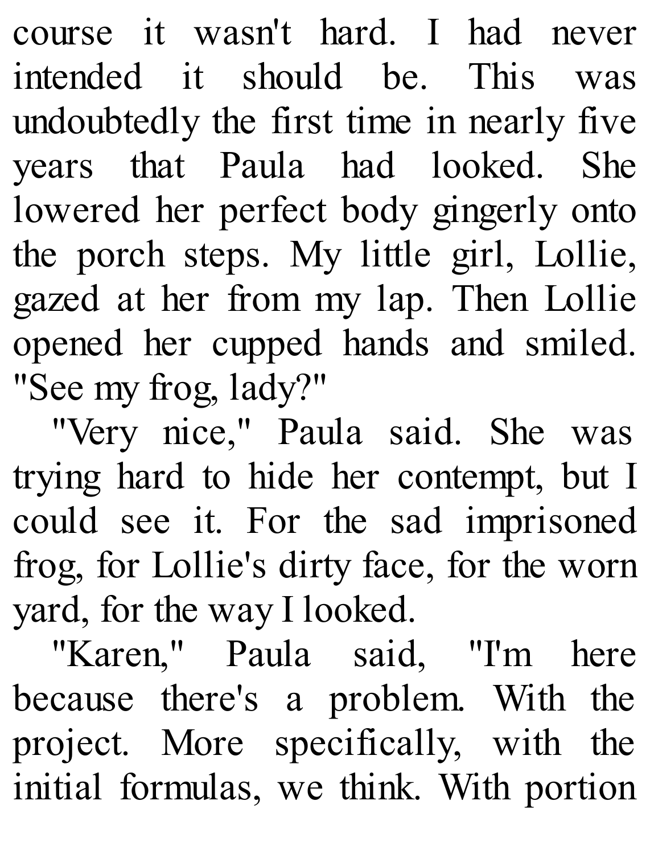course it wasn't hard. I had never intended it should be. This was undoubtedly the first time in nearly five years that Paula had looked. She lowered her perfect body gingerly onto the porch steps. My little girl, Lollie, gazed at her from my lap. Then Lollie opened her cupped hands and smiled. "See my frog, lady?"

"Very nice," Paula said. She was trying hard to hide her contempt, but I could see it. For the sad imprisoned frog, for Lollie's dirty face, for the worn yard, for the way I looked.

"Karen," Paula said, "I'm here because there's a problem. With the project. More specifically, with the initial formulas, we think. With portion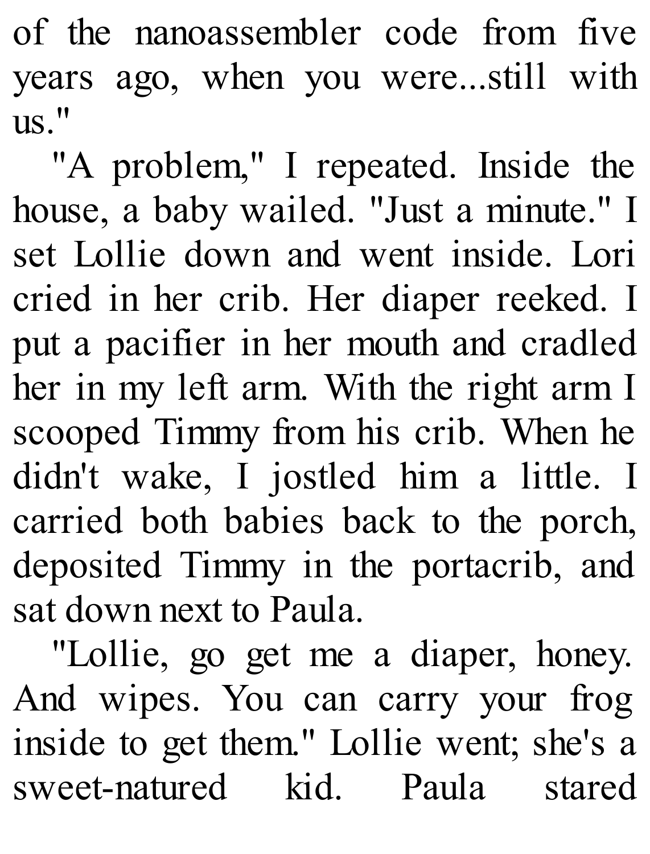of the nanoassembler code from five years ago, when you were...still with us."

"A problem," I repeated. Inside the house, a baby wailed. "Just a minute." I set Lollie down and went inside. Lori cried in her crib. Her diaper reeked. I put a pacifier in her mouth and cradled her in my left arm. With the right arm I scooped Timmy from his crib. When he didn't wake, I jostled him a little. I carried both babies back to the porch, deposited Timmy in the portacrib, and sat down next to Paula.

"Lollie, go get me a diaper, honey. And wipes. You can carry your frog inside to get them." Lollie went; she's a sweet-natured kid. Paula stared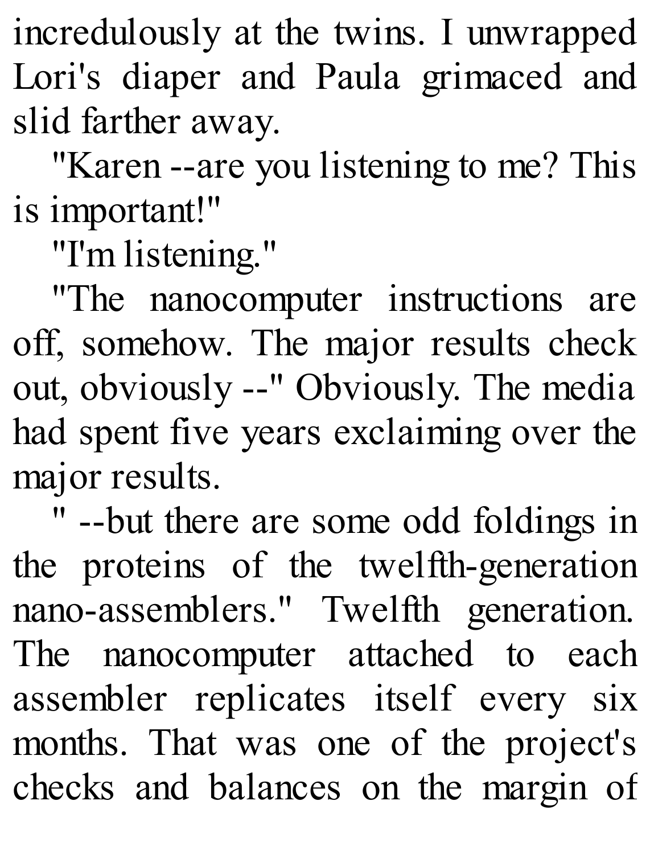incredulously at the twins. I unwrapped Lori's diaper and Paula grimaced and slid farther away.

"Karen --are you listening to me? This is important!"

"I'm listening."

"The nanocomputer instructions are off, somehow. The major results check out, obviously --" Obviously. The media had spent five years exclaiming over the major results.

" --but there are some odd foldings in the proteins of the twelfth-generation nano-assemblers." Twelfth generation. The nanocomputer attached to each assembler replicates itself every six months. That was one of the project's checks and balances on the margin of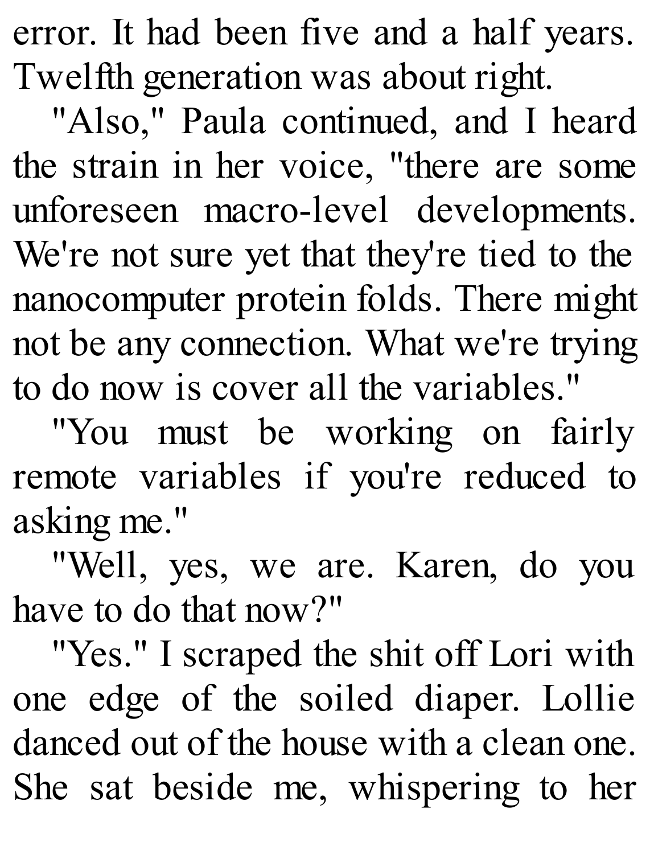error. It had been five and a half years. Twelfth generation was about right.

"Also," Paula continued, and I heard the strain in her voice, "there are some unforeseen macro-level developments. We're not sure yet that they're tied to the nanocomputer protein folds. There might not be any connection. What we're trying to do now is cover all the variables."

"You must be working on fairly remote variables if you're reduced to asking me."

"Well, yes, we are. Karen, do you have to do that now?"

"Yes." I scraped the shit off Lori with one edge of the soiled diaper. Lollie danced out of the house with a clean one. She sat beside me, whispering to her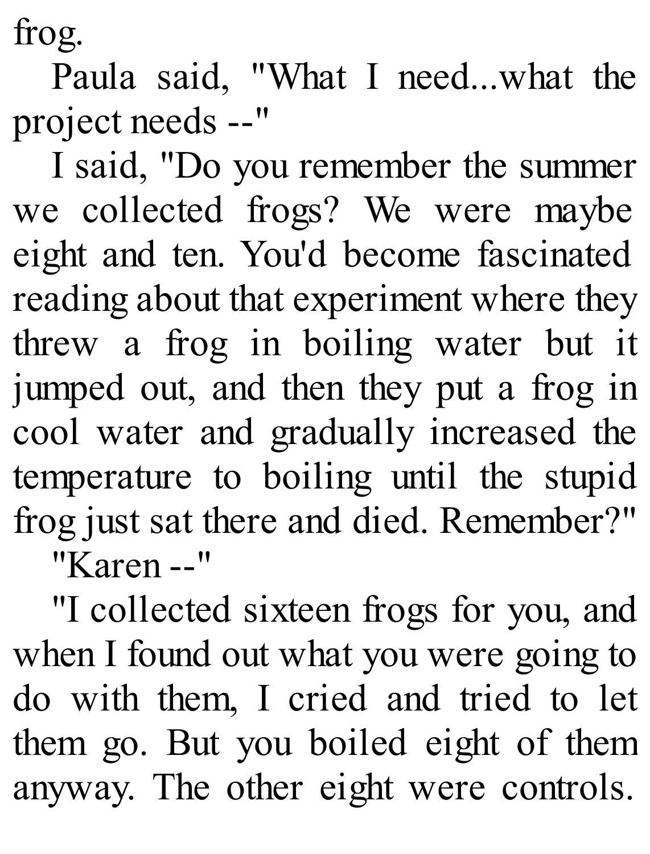frog.

Paula said, "What I need...what the project needs --"

I said, "Do you remember the summer we collected frogs? We were maybe eight and ten. You'd become fascinated reading about that experiment where they threw a frog in boiling water but it jumped out, and then they put a frog in cool water and gradually increased the temperature to boiling until the stupid frog just sat there and died. Remember?" "Karen --"

"I collected sixteen frogs for you, and when I found out what you were going to do with them, I cried and tried to let them go. But you boiled eight of them anyway. The other eight were controls.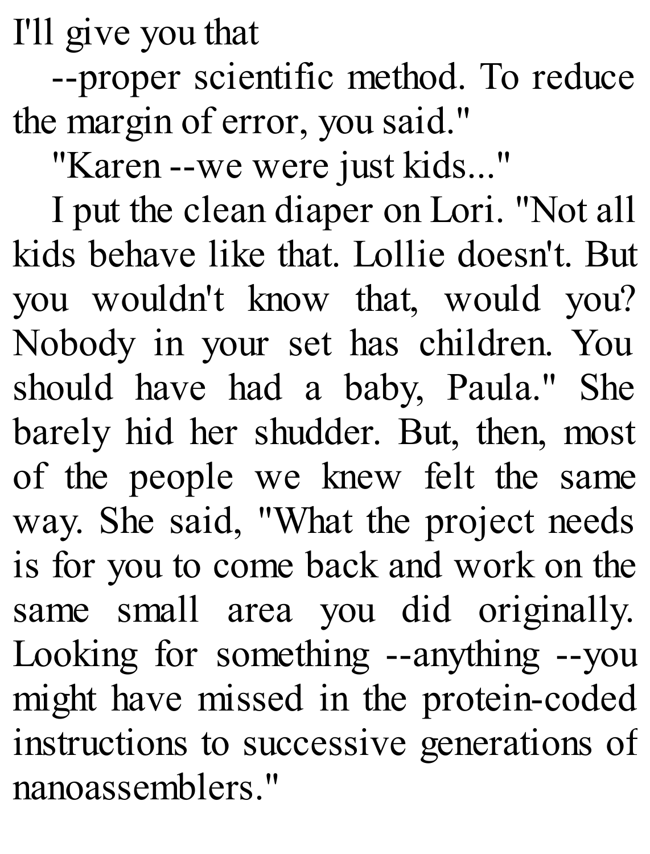I'll give you that

--proper scientific method. To reduce the margin of error, you said."

"Karen --we were just kids..."

I put the clean diaper on Lori. "Not all kids behave like that. Lollie doesn't. But you wouldn't know that, would you? Nobody in your set has children. You should have had a baby, Paula." She barely hid her shudder. But, then, most of the people we knew felt the same way. She said, "What the project needs is for you to come back and work on the same small area you did originally. Looking for something --anything --you might have missed in the protein-coded instructions to successive generations of nanoassemblers."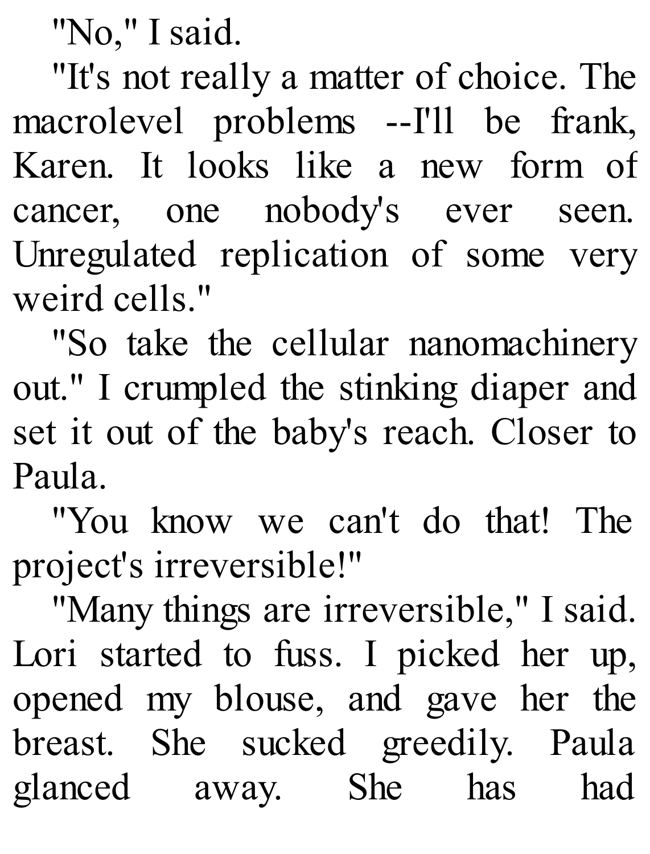"No," I said.

"It's not really a matter of choice. The macrolevel problems --I'll be frank, Karen. It looks like a new form of cancer, one nobody's ever seen. Unregulated replication of some very weird cells."

"So take the cellular nanomachinery out." I crumpled the stinking diaper and set it out of the baby's reach. Closer to Paula.

"You know we can't do that! The project's irreversible!"

"Many things are irreversible," I said. Lori started to fuss. I picked her up, opened my blouse, and gave her the breast. She sucked greedily. Paula glanced away. She has had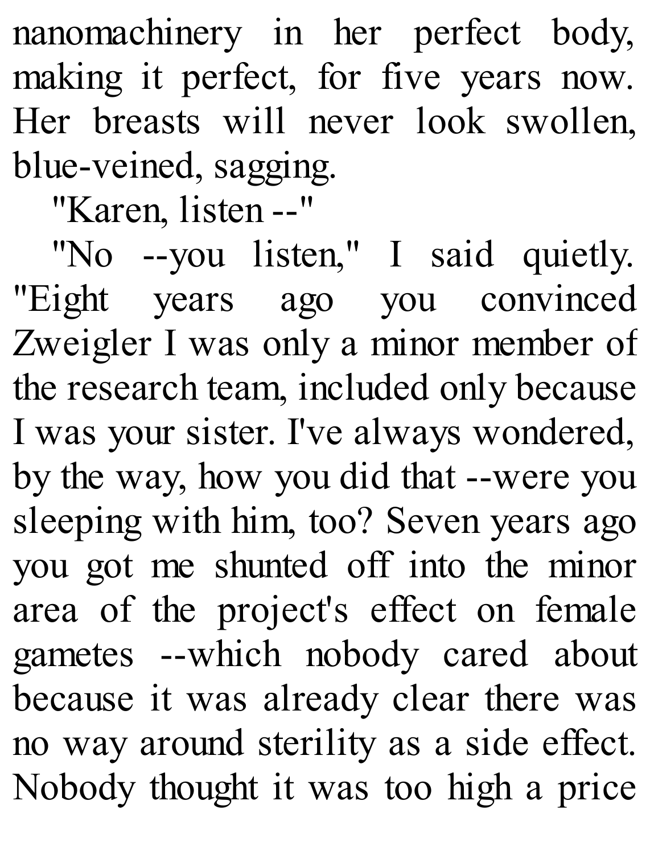nanomachinery in her perfect body, making it perfect, for five years now. Her breasts will never look swollen, blue-veined, sagging.

"Karen, listen --"

"No --you listen," I said quietly. "Eight years ago you convinced Zweigler I was only a minor member of the research team, included only because I was your sister. I've always wondered, by the way, how you did that --were you sleeping with him, too? Seven years ago you got me shunted off into the minor area of the project's effect on female gametes --which nobody cared about because it was already clear there was no way around sterility as a side effect. Nobody thought it was too high a price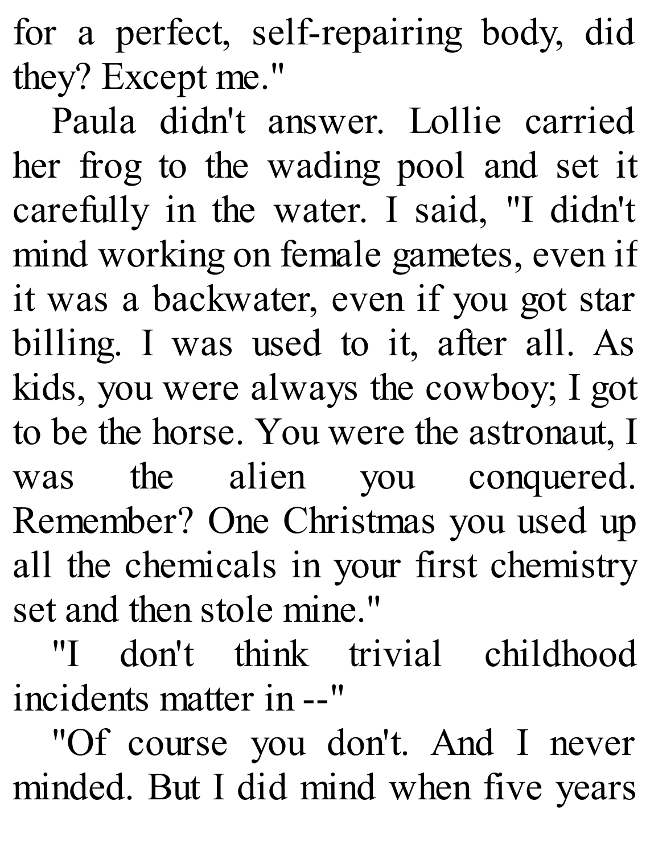for a perfect, self-repairing body, did they? Except me."

Paula didn't answer. Lollie carried her frog to the wading pool and set it carefully in the water. I said, "I didn't mind working on female gametes, even if it was a backwater, even if you got star billing. I was used to it, after all. As kids, you were always the cowboy; I got to be the horse. You were the astronaut, I was the alien you conquered. Remember? One Christmas you used up all the chemicals in your first chemistry set and then stole mine."

"I don't think trivial childhood incidents matter in --"

"Of course you don't. And I never minded. But I did mind when five years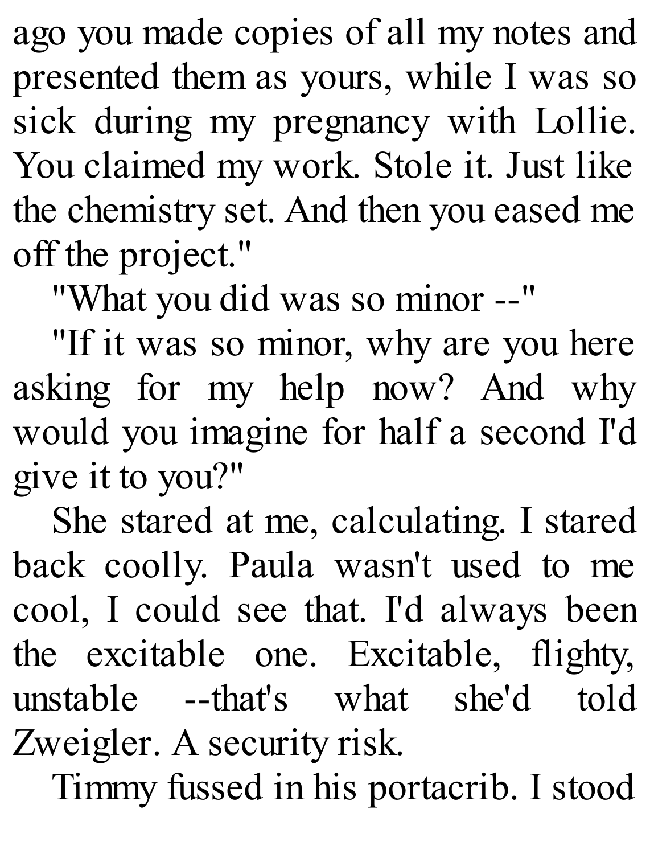ago you made copies of all my notes and presented them as yours, while I was so sick during my pregnancy with Lollie. You claimed my work. Stole it. Just like the chemistry set. And then you eased me off the project."

"What you did was so minor --"

"If it was so minor, why are you here asking for my help now? And why would you imagine for half a second I'd give it to you?"

She stared at me, calculating. I stared back coolly. Paula wasn't used to me cool, I could see that. I'd always been the excitable one. Excitable, flighty, unstable --that's what she'd told Zweigler. A security risk.

Timmy fussed in his portacrib. I stood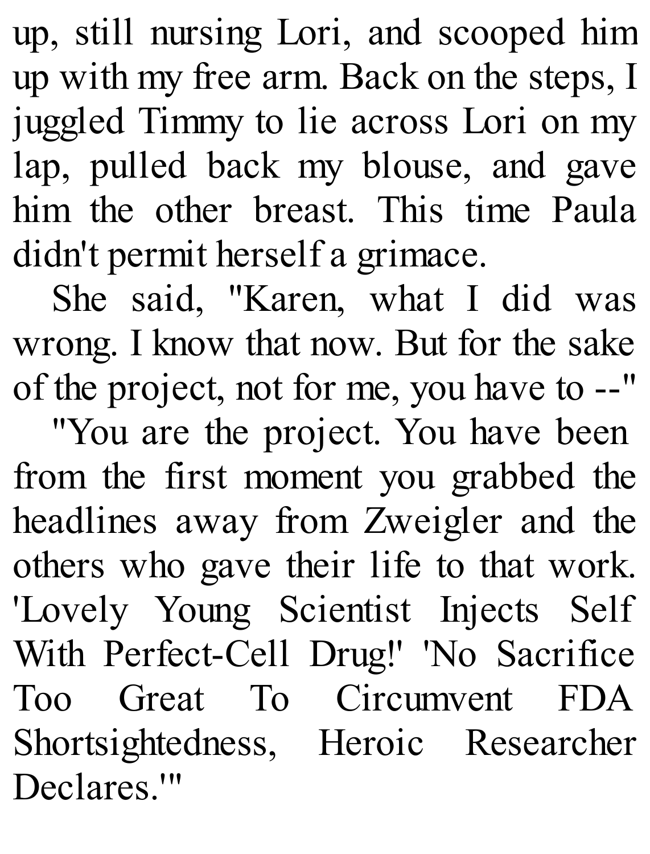up, still nursing Lori, and scooped him up with my free arm. Back on the steps, I juggled Timmy to lie across Lori on my lap, pulled back my blouse, and gave him the other breast. This time Paula didn't permit herself a grimace.

She said, "Karen, what I did was wrong. I know that now. But for the sake of the project, not for me, you have to --"

"You are the project. You have been from the first moment you grabbed the headlines away from Zweigler and the others who gave their life to that work. 'Lovely Young Scientist Injects Self With Perfect-Cell Drug!' 'No Sacrifice Too Great To Circumvent FDA Shortsightedness, Heroic Researcher Declares.'"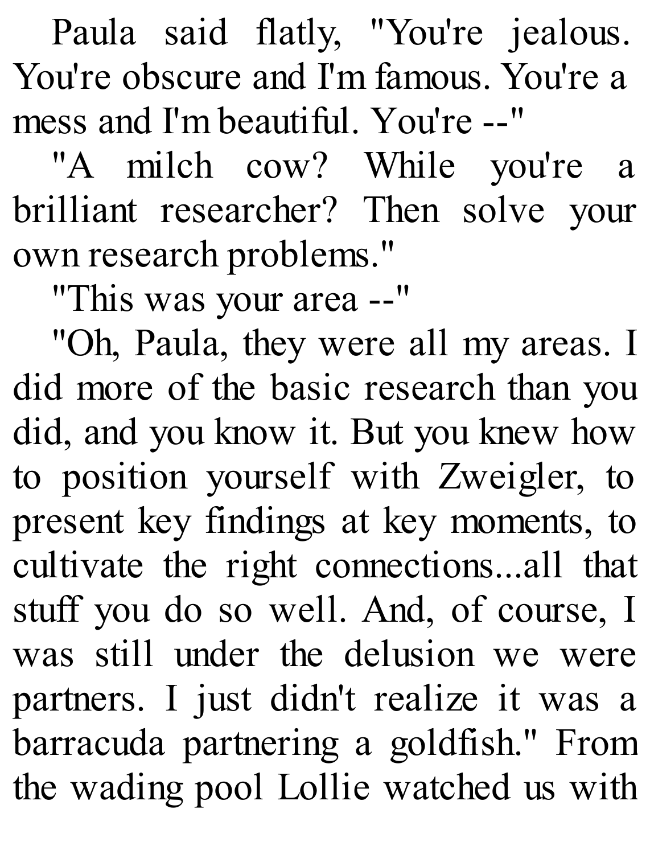Paula said flatly, "You're jealous. You're obscure and I'm famous. You're a mess and I'm beautiful. You're --"

"A milch cow? While you're a brilliant researcher? Then solve your own research problems."

"This was your area --"

"Oh, Paula, they were all my areas. I did more of the basic research than you did, and you know it. But you knew how to position yourself with Zweigler, to present key findings at key moments, to cultivate the right connections...all that stuff you do so well. And, of course, I was still under the delusion we were partners. I just didn't realize it was a barracuda partnering a goldfish." From the wading pool Lollie watched us with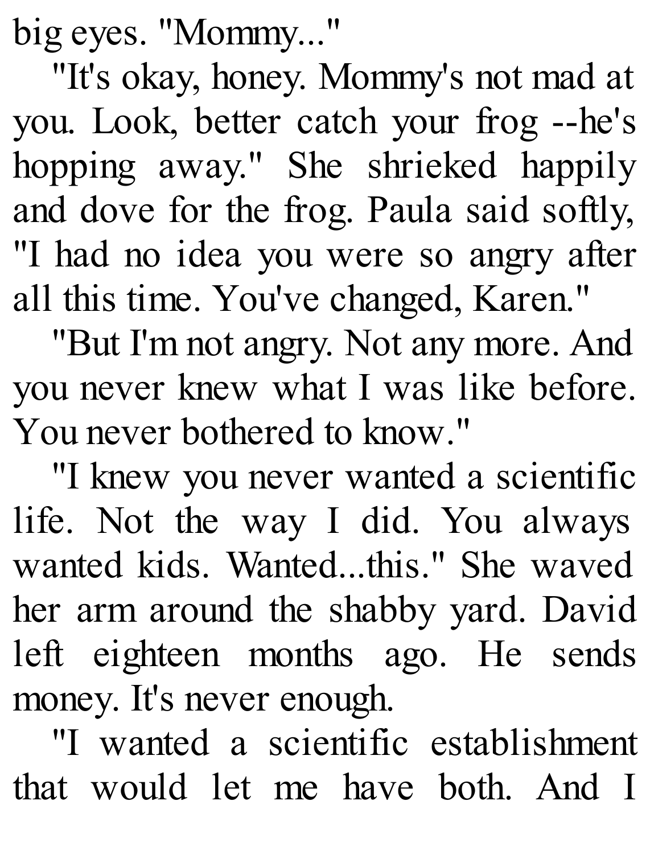big eyes. "Mommy..."

"It's okay, honey. Mommy's not mad at you. Look, better catch your frog --he's hopping away." She shrieked happily and dove for the frog. Paula said softly, "I had no idea you were so angry after all this time. You've changed, Karen."

"But I'm not angry. Not any more. And you never knew what I was like before. You never bothered to know."

"I knew you never wanted a scientific life. Not the way I did. You always wanted kids. Wanted...this." She waved her arm around the shabby yard. David left eighteen months ago. He sends money. It's never enough.

"I wanted a scientific establishment that would let me have both. And I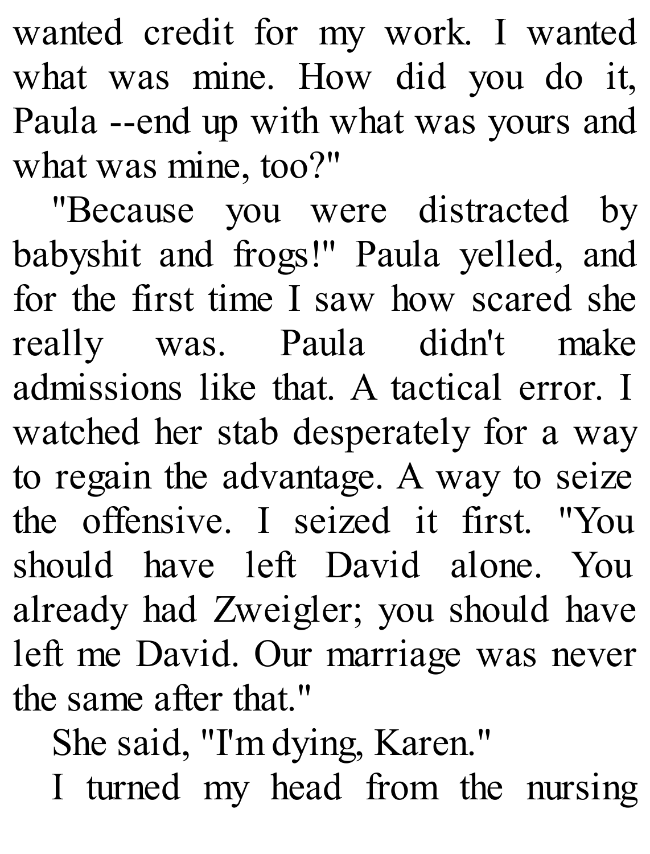wanted credit for my work. I wanted what was mine. How did you do it, Paula --end up with what was yours and what was mine, too?"

"Because you were distracted by babyshit and frogs!" Paula yelled, and for the first time I saw how scared she really was. Paula didn't make admissions like that. A tactical error. I watched her stab desperately for a way to regain the advantage. A way to seize the offensive. I seized it first. "You should have left David alone. You already had Zweigler; you should have left me David. Our marriage was never the same after that."

She said, "I'm dying, Karen."

I turned my head from the nursing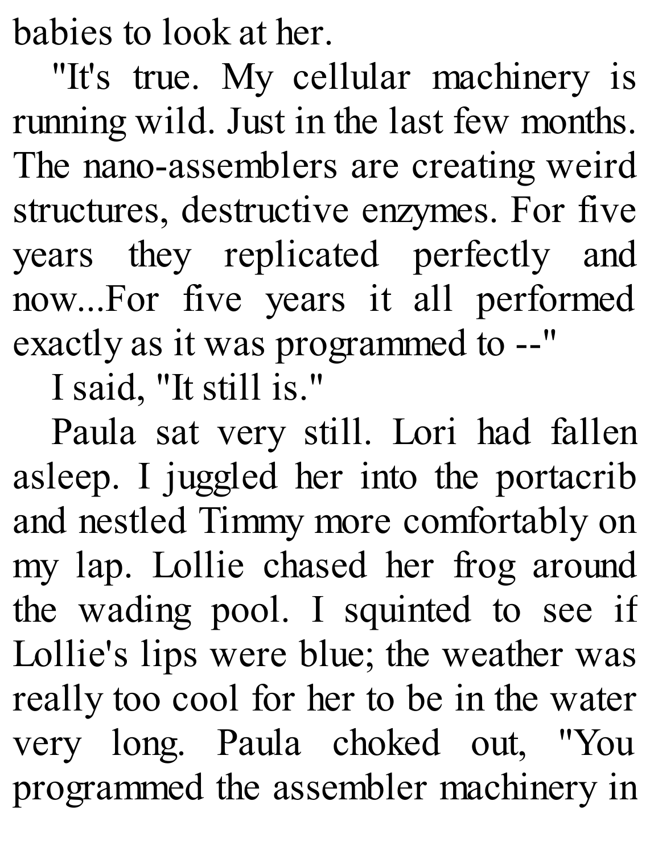babies to look at her.

"It's true. My cellular machinery is running wild. Just in the last few months. The nano-assemblers are creating weird structures, destructive enzymes. For five years they replicated perfectly and now...For five years it all performed exactly as it was programmed to --"

I said, "It still is."

Paula sat very still. Lori had fallen asleep. I juggled her into the portacrib and nestled Timmy more comfortably on my lap. Lollie chased her frog around the wading pool. I squinted to see if Lollie's lips were blue; the weather was really too cool for her to be in the water very long. Paula choked out, "You programmed the assembler machinery in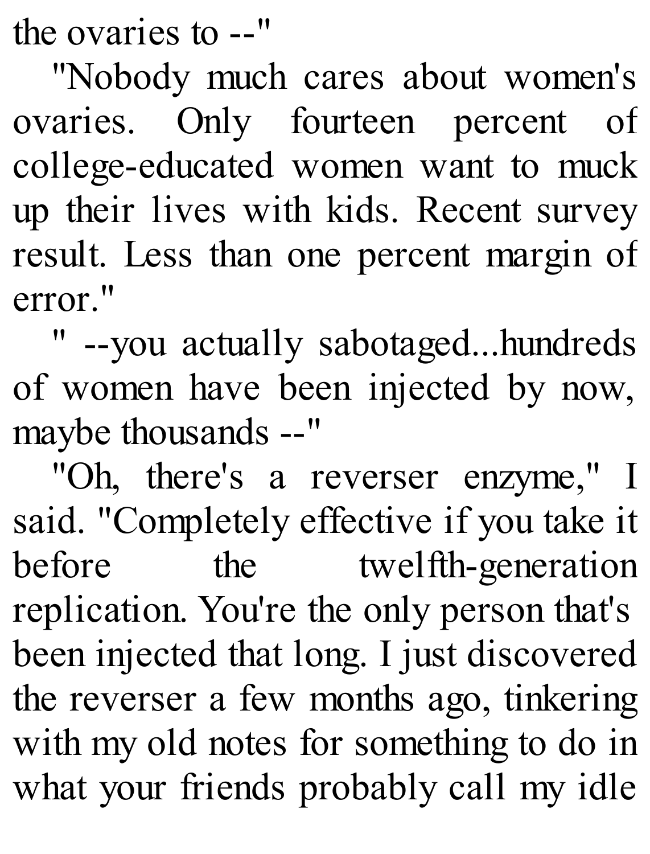the ovaries to --"

"Nobody much cares about women's ovaries. Only fourteen percent of college-educated women want to muck up their lives with kids. Recent survey result. Less than one percent margin of error."

" --you actually sabotaged...hundreds of women have been injected by now, maybe thousands --"

"Oh, there's a reverser enzyme," I said. "Completely effective if you take it before the twelfth-generation replication. You're the only person that's been injected that long. I just discovered the reverser a few months ago, tinkering with my old notes for something to do in what your friends probably call my idle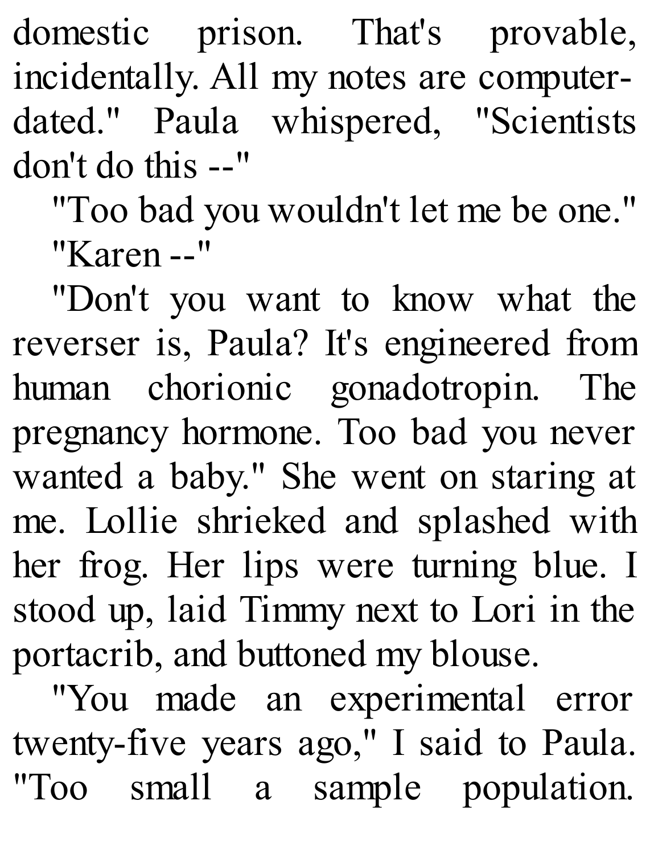domestic prison. That's provable, incidentally. All my notes are computerdated." Paula whispered, "Scientists don't do this --"

"Too bad you wouldn't let me be one." "Karen --"

"Don't you want to know what the reverser is, Paula? It's engineered from human chorionic gonadotropin. The pregnancy hormone. Too bad you never wanted a baby." She went on staring at me. Lollie shrieked and splashed with her frog. Her lips were turning blue. I stood up, laid Timmy next to Lori in the portacrib, and buttoned my blouse.

"You made an experimental error twenty-five years ago," I said to Paula. "Too small a sample population.